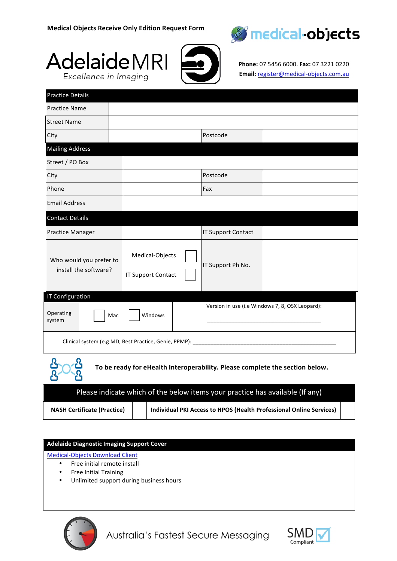





**Phone:** 07 5456 6000. **Fax:** 07 3221 0220 **Email:** register@medical-objects.com.au

| <b>Practice Details</b>                                         |                                              |                                                 |  |  |  |
|-----------------------------------------------------------------|----------------------------------------------|-------------------------------------------------|--|--|--|
| <b>Practice Name</b>                                            |                                              |                                                 |  |  |  |
| <b>Street Name</b>                                              |                                              |                                                 |  |  |  |
| City                                                            |                                              | Postcode                                        |  |  |  |
| <b>Mailing Address</b>                                          |                                              |                                                 |  |  |  |
| Street / PO Box                                                 |                                              |                                                 |  |  |  |
| City                                                            |                                              | Postcode                                        |  |  |  |
| Phone                                                           |                                              | Fax                                             |  |  |  |
| <b>Email Address</b>                                            |                                              |                                                 |  |  |  |
| <b>Contact Details</b>                                          |                                              |                                                 |  |  |  |
| <b>Practice Manager</b>                                         |                                              | <b>IT Support Contact</b>                       |  |  |  |
| Who would you prefer to<br>install the software?                | Medical-Objects<br><b>IT Support Contact</b> | IT Support Ph No.                               |  |  |  |
| IT Configuration                                                |                                              |                                                 |  |  |  |
| Operating<br>Mac<br>system                                      | Windows                                      | Version in use (i.e Windows 7, 8, OSX Leopard): |  |  |  |
| Clinical system (e.g MD, Best Practice, Genie, PPMP): _________ |                                              |                                                 |  |  |  |
| Ω                                                               |                                              |                                                 |  |  |  |

 $\overline{\mathcal{R}}$ 

To be ready for eHealth Interoperability. Please complete the section below.

| Please indicate which of the below items your practice has available (If any). |  |                                                                     |  |  |  |
|--------------------------------------------------------------------------------|--|---------------------------------------------------------------------|--|--|--|
| <b>NASH Certificate (Practice)</b>                                             |  | Individual PKI Access to HPOS (Health Professional Online Services) |  |  |  |

## **Adelaide Diagnostic Imaging Support Cover**

**Medical-Objects Download Client** 

- Free initial remote install
- Free Initial Training
- Unlimited support during business hours



Australia's Fastest Secure Messaging